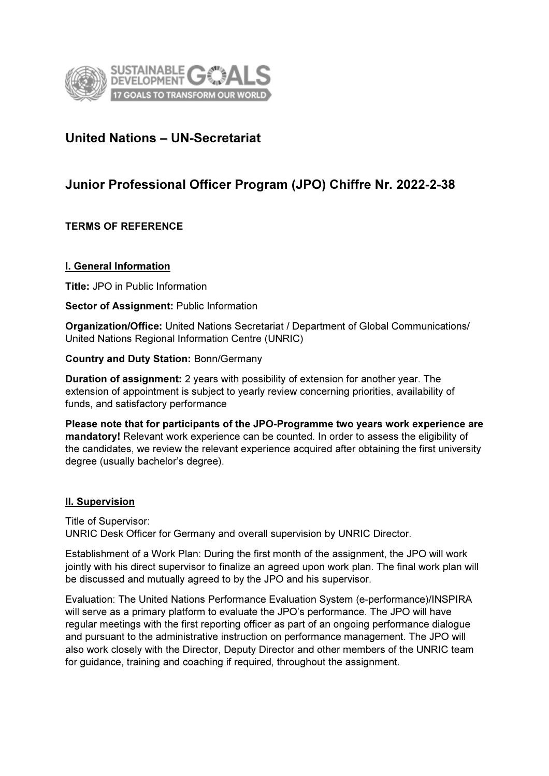

# United Nations – UN-Secretariat

# Junior Professional Officer Program (JPO) Chiffre Nr. 2022-2-38

## TERMS OF REFERENCE

## I. General Information

Title: JPO in Public Information

#### Sector of Assignment: Public Information

Organization/Office: United Nations Secretariat / Department of Global Communications/ United Nations Regional Information Centre (UNRIC)

Country and Duty Station: Bonn/Germany

Duration of assignment: 2 years with possibility of extension for another year. The extension of appointment is subject to yearly review concerning priorities, availability of funds, and satisfactory performance

Please note that for participants of the JPO-Programme two years work experience are mandatory! Relevant work experience can be counted. In order to assess the eligibility of the candidates, we review the relevant experience acquired after obtaining the first university degree (usually bachelor's degree).

## II. Supervision

Title of Supervisor: UNRIC Desk Officer for Germany and overall supervision by UNRIC Director.

Establishment of a Work Plan: During the first month of the assignment, the JPO will work jointly with his direct supervisor to finalize an agreed upon work plan. The final work plan will be discussed and mutually agreed to by the JPO and his supervisor.

Evaluation: The United Nations Performance Evaluation System (e-performance)/INSPIRA will serve as a primary platform to evaluate the JPO's performance. The JPO will have regular meetings with the first reporting officer as part of an ongoing performance dialogue and pursuant to the administrative instruction on performance management. The JPO will also work closely with the Director, Deputy Director and other members of the UNRIC team for guidance, training and coaching if required, throughout the assignment.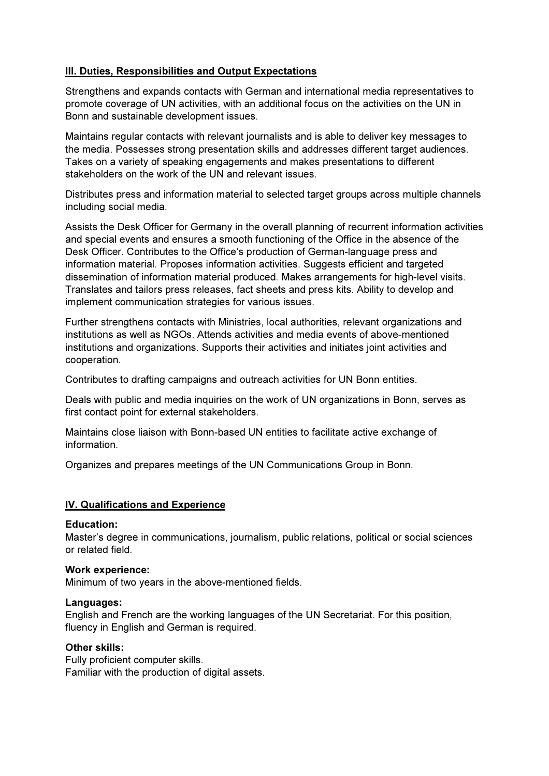# **III. Duties, Responsibilities and Output Expectations**

Strengthens and expands contacts with German and international media representatives to promote coverage of UN activities, with an additional focus on the activities on the UN in Bonn and sustainable development issues.

Maintains regular contacts with relevant journalists and is able to deliver key messages to the media. Possesses strong presentation skills and addresses different target audiences. Takes on a variety of speaking engagements and makes presentations to different stakeholders on the work of the UN and relevant issues.

Distributes press and information material to selected target groups across multiple channels including social media.

Assists the Desk Officer for Germany in the overall planning of recurrent information activities and special events and ensures a smooth functioning of the Office in the absence of the Desk Officer. Contributes to the Office's production of German-language press and information material. Proposes information activities. Suggests efficient and targeted dissemination of information material produced. Makes arrangements for high-level visits. Translates and tailors press releases, fact sheets and press kits. Ability to develop and implement communication strategies for various issues.

Further strengthens contacts with Ministries, local authorities, relevant organizations and institutions as well as NGOs. Attends activities and media events of above-mentioned institutions and organizations. Supports their activities and initiates joint activities and cooperation.

Contributes to drafting campaigns and outreach activities for UN Bonn entities.

Deals with public and media inquiries on the work of UN organizations in Bonn, serves as first contact point for external stakeholders.

Maintains close liaison with Bonn-based UN entities to facilitate active exchange of information.

Organizes and prepares meetings of the UN Communications Group in Bonn.

## IV. Qualifications and Experience

#### Education:

Master's degree in communications, journalism, public relations, political or social sciences or related field.

#### Work experience:

Minimum of two years in the above-mentioned fields.

#### Languages:

English and French are the working languages of the UN Secretariat. For this position, fluency in English and German is required.

#### Other skills:

Fully proficient computer skills. Familiar with the production of digital assets.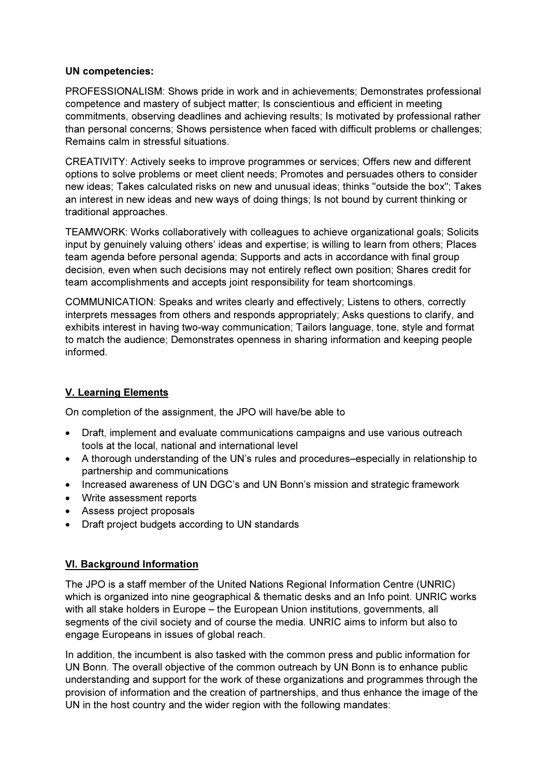## UN competencies:

PROFESSIONALISM: Shows pride in work and in achievements; Demonstrates professional competence and mastery of subject matter; Is conscientious and efficient in meeting commitments, observing deadlines and achieving results; Is motivated by professional rather than personal concerns; Shows persistence when faced with difficult problems or challenges; Remains calm in stressful situations.

CREATIVITY: Actively seeks to improve programmes or services; Offers new and different options to solve problems or meet client needs; Promotes and persuades others to consider new ideas; Takes calculated risks on new and unusual ideas; thinks "outside the box"; Takes an interest in new ideas and new ways of doing things; Is not bound by current thinking or traditional approaches.

TEAMWORK: Works collaboratively with colleagues to achieve organizational goals; Solicits input by genuinely valuing others' ideas and expertise; is willing to learn from others; Places team agenda before personal agenda; Supports and acts in accordance with final group decision, even when such decisions may not entirely reflect own position; Shares credit for team accomplishments and accepts joint responsibility for team shortcomings.

COMMUNICATION: Speaks and writes clearly and effectively; Listens to others, correctly interprets messages from others and responds appropriately; Asks questions to clarify, and exhibits interest in having two-way communication; Tailors language, tone, style and format to match the audience; Demonstrates openness in sharing information and keeping people informed.

# V. Learning Elements

On completion of the assignment, the JPO will have/be able to

- Draft, implement and evaluate communications campaigns and use various outreach tools at the local, national and international level
- A thorough understanding of the UN's rules and procedures–especially in relationship to partnership and communications
- Increased awareness of UN DGC's and UN Bonn's mission and strategic framework
- Write assessment reports
- Assess project proposals
- Draft project budgets according to UN standards

# VI. Background Information

The JPO is a staff member of the United Nations Regional Information Centre (UNRIC) which is organized into nine geographical & thematic desks and an Info point. UNRIC works with all stake holders in Europe – the European Union institutions, governments, all segments of the civil society and of course the media. UNRIC aims to inform but also to engage Europeans in issues of global reach.

In addition, the incumbent is also tasked with the common press and public information for UN Bonn. The overall objective of the common outreach by UN Bonn is to enhance public understanding and support for the work of these organizations and programmes through the provision of information and the creation of partnerships, and thus enhance the image of the UN in the host country and the wider region with the following mandates: